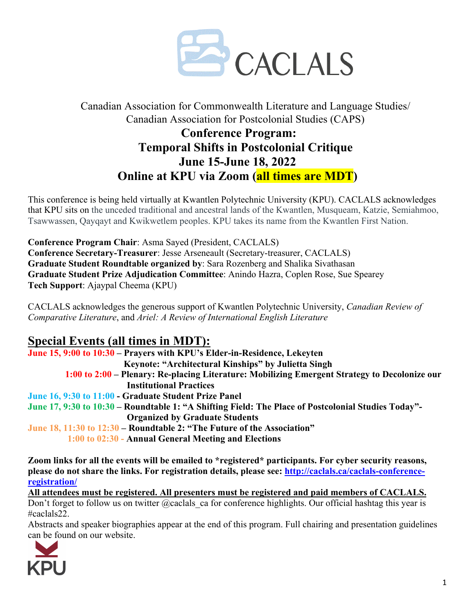

### Canadian Association for Commonwealth Literature and Language Studies/ Canadian Association for Postcolonial Studies (CAPS)

## **Conference Program: Temporal Shifts in Postcolonial Critique June 15-June 18, 2022 Online at KPU via Zoom (all times are MDT)**

This conference is being held virtually at Kwantlen Polytechnic University (KPU). CACLALS acknowledges that KPU sits on the unceded traditional and ancestral lands of the Kwantlen, Musqueam, Katzie, Semiahmoo, Tsawwassen, Qayqayt and Kwikwetlem peoples. KPU takes its name from the Kwantlen First Nation.

**Conference Program Chair**: Asma Sayed (President, CACLALS) **Conference Secretary-Treasurer**: Jesse Arseneault (Secretary-treasurer, CACLALS) **Graduate Student Roundtable organized by**: Sara Rozenberg and Shalika Sivathasan **Graduate Student Prize Adjudication Committee**: Anindo Hazra, Coplen Rose, Sue Spearey **Tech Support**: Ajaypal Cheema (KPU)

CACLALS acknowledges the generous support of Kwantlen Polytechnic University, *Canadian Review of Comparative Literature*, and *Ariel: A Review of International English Literature*

## **Special Events (all times in MDT):**

**June 15, 9:00 to 10:30 – Prayers with KPU's Elder-in-Residence, Lekeyten Keynote: "Architectural Kinships" by Julietta Singh 1:00 to 2:00 – Plenary: Re-placing Literature: Mobilizing Emergent Strategy to Decolonize our Institutional Practices June 16, 9:30 to 11:00 - Graduate Student Prize Panel June 17, 9:30 to 10:30 – Roundtable 1: "A Shifting Field: The Place of Postcolonial Studies Today"- Organized by Graduate Students June 18, 11:30 to 12:30 – Roundtable 2: "The Future of the Association" 1:00 to 02:30 - Annual General Meeting and Elections**

**Zoom links for all the events will be emailed to \*registered\* participants. For cyber security reasons, please do not share the links. For registration details, please see: http://caclals.ca/caclals-conferenceregistration/**

**All attendees must be registered. All presenters must be registered and paid members of CACLALS.** Don't forget to follow us on twitter @caclals ca for conference highlights. Our official hashtag this year is #caclals22.

Abstracts and speaker biographies appear at the end of this program. Full chairing and presentation guidelines can be found on our website.

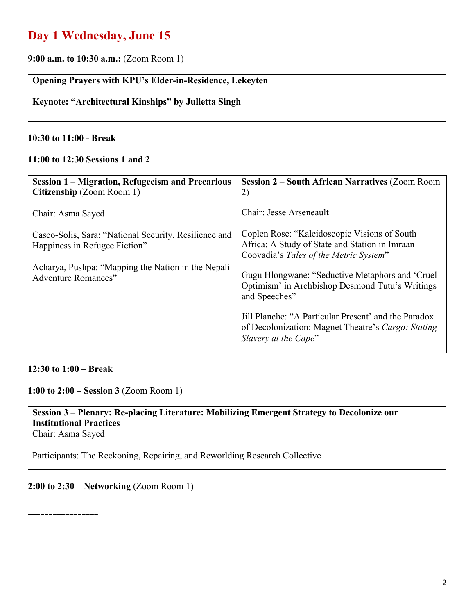## **Day 1 Wednesday, June 15**

**9:00 a.m. to 10:30 a.m.:** (Zoom Room 1)

#### **Opening Prayers with KPU's Elder-in-Residence, Lekeyten**

**Keynote: "Architectural Kinships" by Julietta Singh**

#### **10:30 to 11:00 - Break**

#### **11:00 to 12:30 Sessions 1 and 2**

| <b>Session 1 – Migration, Refugeeism and Precarious</b><br>Citizenship (Zoom Room 1)   | <b>Session 2 – South African Narratives (Zoom Room</b><br>2)                                                                             |
|----------------------------------------------------------------------------------------|------------------------------------------------------------------------------------------------------------------------------------------|
| Chair: Asma Sayed                                                                      | Chair: Jesse Arseneault                                                                                                                  |
| Casco-Solis, Sara: "National Security, Resilience and<br>Happiness in Refugee Fiction" | Coplen Rose: "Kaleidoscopic Visions of South<br>Africa: A Study of State and Station in Imraan<br>Coovadia's Tales of the Metric System" |
| Acharya, Pushpa: "Mapping the Nation in the Nepali<br><b>Adventure Romances"</b>       | Gugu Hlongwane: "Seductive Metaphors and 'Cruel<br>Optimism' in Archbishop Desmond Tutu's Writings<br>and Speeches"                      |
|                                                                                        | Jill Planche: "A Particular Present" and the Paradox<br>of Decolonization: Magnet Theatre's Cargo: Stating<br>Slavery at the Cape"       |

#### **12:30 to 1:00 – Break**

**1:00 to 2:00 – Session 3** (Zoom Room 1)

#### **Session 3 – Plenary: Re-placing Literature: Mobilizing Emergent Strategy to Decolonize our Institutional Practices** Chair: Asma Sayed

Participants: The Reckoning, Repairing, and Reworlding Research Collective

#### **2:00 to 2:30 – Networking** (Zoom Room 1)

**-----------------**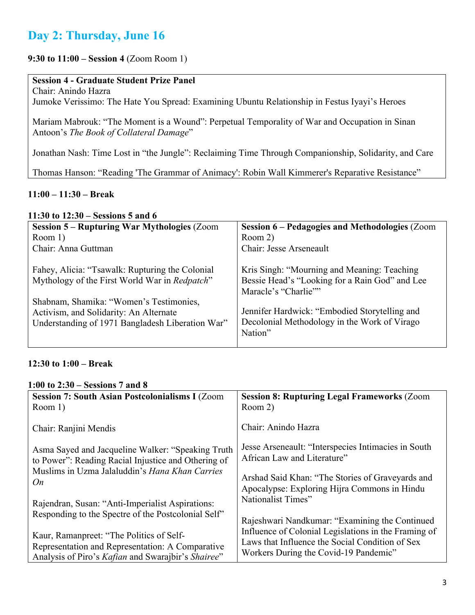## **Day 2: Thursday, June 16**

#### **9:30 to 11:00 – Session 4** (Zoom Room 1)

#### **Session 4 - Graduate Student Prize Panel**

Chair: Anindo Hazra Jumoke Verissimo: The Hate You Spread: Examining Ubuntu Relationship in Festus Iyayi's Heroes

Mariam Mabrouk: "The Moment is a Wound": Perpetual Temporality of War and Occupation in Sinan Antoon's *The Book of Collateral Damage*"

Jonathan Nash: Time Lost in "the Jungle": Reclaiming Time Through Companionship, Solidarity, and Care

Thomas Hanson: "Reading 'The Grammar of Animacy': Robin Wall Kimmerer's Reparative Resistance"

#### **11:00 – 11:30 – Break**

#### **11:30 to 12:30 – Sessions 5 and 6**

| <b>Session 5 – Rupturing War Mythologies (Zoom</b>                                                                                                                                                                                        | <b>Session 6 – Pedagogies and Methodologies (Zoom</b>                                                                                                                                                                             |
|-------------------------------------------------------------------------------------------------------------------------------------------------------------------------------------------------------------------------------------------|-----------------------------------------------------------------------------------------------------------------------------------------------------------------------------------------------------------------------------------|
| Room $1$ )                                                                                                                                                                                                                                | Room 2)                                                                                                                                                                                                                           |
| Chair: Anna Guttman                                                                                                                                                                                                                       | Chair: Jesse Arseneault                                                                                                                                                                                                           |
| Fahey, Alicia: "Tsawalk: Rupturing the Colonial<br>Mythology of the First World War in Redpatch"<br>Shabnam, Shamika: "Women's Testimonies,<br>Activism, and Solidarity: An Alternate<br>Understanding of 1971 Bangladesh Liberation War" | Kris Singh: "Mourning and Meaning: Teaching<br>Bessie Head's "Looking for a Rain God" and Lee<br>Maracle's "Charlie""<br>Jennifer Hardwick: "Embodied Storytelling and<br>Decolonial Methodology in the Work of Virago<br>Nation" |

#### **12:30 to 1:00 – Break**

#### **1:00 to 2:30 – Sessions 7 and 8 Session 7: South Asian Postcolonialisms I** (Zoom Room 1) Chair: Ranjini Mendis Asma Sayed and Jacqueline Walker: "Speaking Truth to Power": Reading Racial Injustice and Othering of Muslims in Uzma Jalaluddin's *Hana Khan Carries On* Rajendran, Susan: "Anti-Imperialist Aspirations: Responding to the Spectre of the Postcolonial Self" Kaur, Ramanpreet: "The Politics of Self-Representation and Representation: A Comparative Analysis of Piro's *Kafian* and Swarajbir's *Shairee*" **Session 8: Rupturing Legal Frameworks** (Zoom Room 2) Chair: Anindo Hazra Jesse Arseneault: "Interspecies Intimacies in South African Law and Literature" Arshad Said Khan: "The Stories of Graveyards and Apocalypse: Exploring Hijra Commons in Hindu Nationalist Times" Rajeshwari Nandkumar: "Examining the Continued Influence of Colonial Legislations in the Framing of Laws that Influence the Social Condition of Sex Workers During the Covid-19 Pandemic"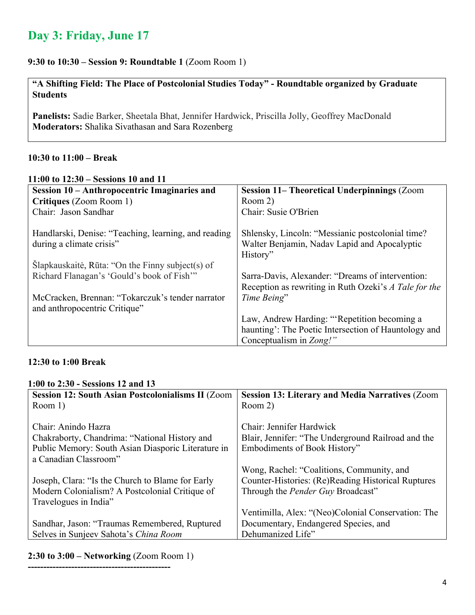## **Day 3: Friday, June 17**

#### **9:30 to 10:30 – Session 9: Roundtable 1** (Zoom Room 1)

**"A Shifting Field: The Place of Postcolonial Studies Today" - Roundtable organized by Graduate Students**

**Panelists:** Sadie Barker, Sheetala Bhat, Jennifer Hardwick, Priscilla Jolly, Geoffrey MacDonald **Moderators:** Shalika Sivathasan and Sara Rozenberg

#### **10:30 to 11:00 – Break**

|  | 11:00 to $12:30 - \text{Sessions} 10$ and 11 |
|--|----------------------------------------------|
|--|----------------------------------------------|

| Session 10 – Anthropocentric Imaginaries and                                     | <b>Session 11– Theoretical Underpinnings (Zoom</b>                                                           |
|----------------------------------------------------------------------------------|--------------------------------------------------------------------------------------------------------------|
| Critiques (Zoom Room 1)                                                          | Room 2)                                                                                                      |
| Chair: Jason Sandhar                                                             | Chair: Susie O'Brien                                                                                         |
| Handlarski, Denise: "Teaching, learning, and reading<br>during a climate crisis" | Shlensky, Lincoln: "Messianic postcolonial time?<br>Walter Benjamin, Nadav Lapid and Apocalyptic<br>History" |
| Slapkauskaitė, Rūta: "On the Finny subject(s) of                                 |                                                                                                              |
| Richard Flanagan's 'Gould's book of Fish'"                                       | Sarra-Davis, Alexander: "Dreams of intervention:                                                             |
|                                                                                  | Reception as rewriting in Ruth Ozeki's A Tale for the                                                        |
| McCracken, Brennan: "Tokarczuk's tender narrator                                 | Time Being"                                                                                                  |
| and anthropocentric Critique"                                                    |                                                                                                              |
|                                                                                  | Law, Andrew Harding: "Repetition becoming a                                                                  |
|                                                                                  | haunting': The Poetic Intersection of Hauntology and                                                         |
|                                                                                  | Conceptualism in Zong!"                                                                                      |

#### **12:30 to 1:00 Break**

#### **1:00 to 2:30 - Sessions 12 and 13**

| <b>Session 12: South Asian Postcolonialisms II (Zoom)</b> | <b>Session 13: Literary and Media Narratives (Zoom</b> |
|-----------------------------------------------------------|--------------------------------------------------------|
| Room 1)                                                   | Room 2)                                                |
|                                                           |                                                        |
| Chair: Anindo Hazra                                       | Chair: Jennifer Hardwick                               |
| Chakraborty, Chandrima: "National History and             | Blair, Jennifer: "The Underground Railroad and the     |
| Public Memory: South Asian Diasporic Literature in        | Embodiments of Book History"                           |
| a Canadian Classroom"                                     |                                                        |
|                                                           | Wong, Rachel: "Coalitions, Community, and              |
| Joseph, Clara: "Is the Church to Blame for Early          | Counter-Histories: (Re)Reading Historical Ruptures     |
| Modern Colonialism? A Postcolonial Critique of            | Through the <i>Pender Guy</i> Broadcast"               |
| Travelogues in India"                                     |                                                        |
|                                                           | Ventimilla, Alex: "(Neo)Colonial Conservation: The     |
| Sandhar, Jason: "Traumas Remembered, Ruptured             | Documentary, Endangered Species, and                   |
| Selves in Sunjeev Sahota's China Room                     | Dehumanized Life"                                      |

#### **2:30 to 3:00 – Networking** (Zoom Room 1)

**----------------------------------------------**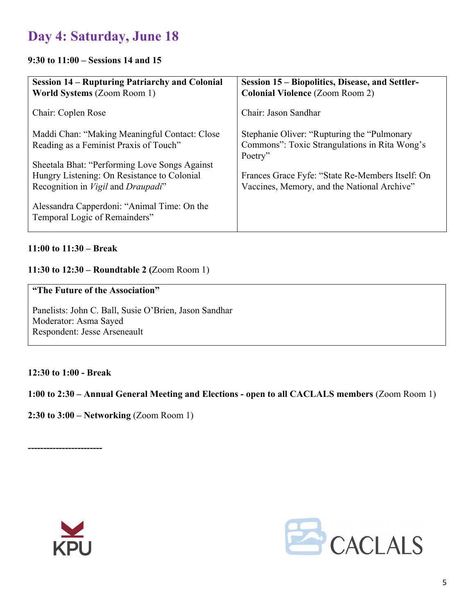## **Day 4: Saturday, June 18**

#### **9:30 to 11:00 – Sessions 14 and 15**

| <b>Session 14 – Rupturing Patriarchy and Colonial</b><br><b>World Systems (Zoom Room 1)</b> | Session 15 – Biopolitics, Disease, and Settler-<br><b>Colonial Violence (Zoom Room 2)</b> |
|---------------------------------------------------------------------------------------------|-------------------------------------------------------------------------------------------|
| Chair: Coplen Rose                                                                          | Chair: Jason Sandhar                                                                      |
| Maddi Chan: "Making Meaningful Contact: Close                                               | Stephanie Oliver: "Rupturing the "Pulmonary"                                              |
| Reading as a Feminist Praxis of Touch"                                                      | Commons": Toxic Strangulations in Rita Wong's                                             |
|                                                                                             | Poetry"                                                                                   |
| Sheetala Bhat: "Performing Love Songs Against                                               |                                                                                           |
| Hungry Listening: On Resistance to Colonial                                                 | Frances Grace Fyfe: "State Re-Members Itself: On                                          |
| Recognition in Vigil and Draupadi"                                                          | Vaccines, Memory, and the National Archive"                                               |
| Alessandra Capperdoni: "Animal Time: On the<br>Temporal Logic of Remainders"                |                                                                                           |
|                                                                                             |                                                                                           |

#### **11:00 to 11:30 – Break**

#### **11:30 to 12:30 – Roundtable 2 (**Zoom Room 1)

#### **"The Future of the Association"**

Panelists: John C. Ball, Susie O'Brien, Jason Sandhar Moderator: Asma Sayed Respondent: Jesse Arseneault

#### **12:30 to 1:00 - Break**

#### **1:00 to 2:30 – Annual General Meeting and Elections - open to all CACLALS members** (Zoom Room 1)

**2:30 to 3:00 – Networking** (Zoom Room 1)

**------------------------**



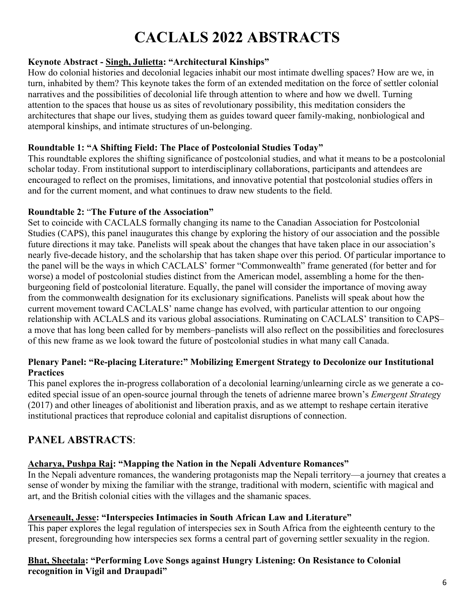# **CACLALS 2022 ABSTRACTS**

#### **Keynote Abstract - Singh, Julietta: "Architectural Kinships"**

How do colonial histories and decolonial legacies inhabit our most intimate dwelling spaces? How are we, in turn, inhabited by them? This keynote takes the form of an extended meditation on the force of settler colonial narratives and the possibilities of decolonial life through attention to where and how we dwell. Turning attention to the spaces that house us as sites of revolutionary possibility, this meditation considers the architectures that shape our lives, studying them as guides toward queer family-making, nonbiological and atemporal kinships, and intimate structures of un-belonging.

#### **Roundtable 1: "A Shifting Field: The Place of Postcolonial Studies Today"**

This roundtable explores the shifting significance of postcolonial studies, and what it means to be a postcolonial scholar today. From institutional support to interdisciplinary collaborations, participants and attendees are encouraged to reflect on the promises, limitations, and innovative potential that postcolonial studies offers in and for the current moment, and what continues to draw new students to the field.

#### **Roundtable 2:** "**The Future of the Association"**

Set to coincide with CACLALS formally changing its name to the Canadian Association for Postcolonial Studies (CAPS), this panel inaugurates this change by exploring the history of our association and the possible future directions it may take. Panelists will speak about the changes that have taken place in our association's nearly five-decade history, and the scholarship that has taken shape over this period. Of particular importance to the panel will be the ways in which CACLALS' former "Commonwealth" frame generated (for better and for worse) a model of postcolonial studies distinct from the American model, assembling a home for the thenburgeoning field of postcolonial literature. Equally, the panel will consider the importance of moving away from the commonwealth designation for its exclusionary significations. Panelists will speak about how the current movement toward CACLALS' name change has evolved, with particular attention to our ongoing relationship with ACLALS and its various global associations. Ruminating on CACLALS' transition to CAPS– a move that has long been called for by members–panelists will also reflect on the possibilities and foreclosures of this new frame as we look toward the future of postcolonial studies in what many call Canada.

#### **Plenary Panel: "Re-placing Literature:" Mobilizing Emergent Strategy to Decolonize our Institutional Practices**

This panel explores the in-progress collaboration of a decolonial learning/unlearning circle as we generate a coedited special issue of an open-source journal through the tenets of adrienne maree brown's *Emergent Strateg*y (2017) and other lineages of abolitionist and liberation praxis, and as we attempt to reshape certain iterative institutional practices that reproduce colonial and capitalist disruptions of connection.

### **PANEL ABSTRACTS**:

#### **Acharya, Pushpa Raj: "Mapping the Nation in the Nepali Adventure Romances"**

In the Nepali adventure romances, the wandering protagonists map the Nepali territory—a journey that creates a sense of wonder by mixing the familiar with the strange, traditional with modern, scientific with magical and art, and the British colonial cities with the villages and the shamanic spaces.

#### **Arseneault, Jesse: "Interspecies Intimacies in South African Law and Literature"**

This paper explores the legal regulation of interspecies sex in South Africa from the eighteenth century to the present, foregrounding how interspecies sex forms a central part of governing settler sexuality in the region.

#### **Bhat, Sheetala: "Performing Love Songs against Hungry Listening: On Resistance to Colonial recognition in Vigil and Draupadi"**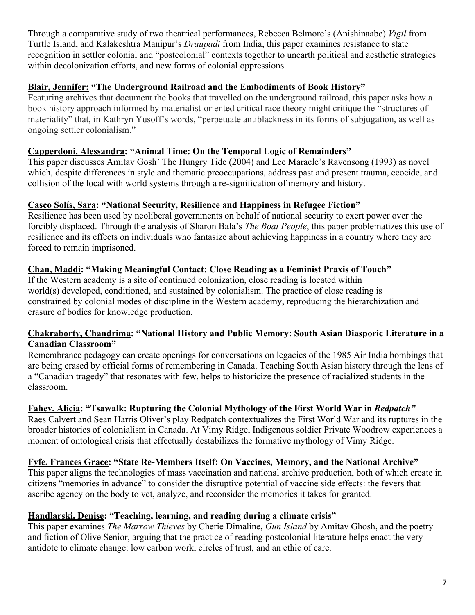Through a comparative study of two theatrical performances, Rebecca Belmore's (Anishinaabe) *Vigil* from Turtle Island, and Kalakeshtra Manipur's *Draupadi* from India, this paper examines resistance to state recognition in settler colonial and "postcolonial" contexts together to unearth political and aesthetic strategies within decolonization efforts, and new forms of colonial oppressions.

#### **Blair, Jennifer: "The Underground Railroad and the Embodiments of Book History"**

Featuring archives that document the books that travelled on the underground railroad, this paper asks how a book history approach informed by materialist-oriented critical race theory might critique the "structures of materiality" that, in Kathryn Yusoff's words, "perpetuate antiblackness in its forms of subjugation, as well as ongoing settler colonialism."

#### **Capperdoni, Alessandra: "Animal Time: On the Temporal Logic of Remainders"**

This paper discusses Amitav Gosh' The Hungry Tide (2004) and Lee Maracle's Ravensong (1993) as novel which, despite differences in style and thematic preoccupations, address past and present trauma, ecocide, and collision of the local with world systems through a re-signification of memory and history.

#### **Casco Solís, Sara: "National Security, Resilience and Happiness in Refugee Fiction"**

Resilience has been used by neoliberal governments on behalf of national security to exert power over the forcibly displaced. Through the analysis of Sharon Bala's *The Boat People*, this paper problematizes this use of resilience and its effects on individuals who fantasize about achieving happiness in a country where they are forced to remain imprisoned.

#### **Chan, Maddi: "Making Meaningful Contact: Close Reading as a Feminist Praxis of Touch"**

If the Western academy is a site of continued colonization, close reading is located within world(s) developed, conditioned, and sustained by colonialism. The practice of close reading is constrained by colonial modes of discipline in the Western academy, reproducing the hierarchization and erasure of bodies for knowledge production.

#### **Chakraborty, Chandrima: "National History and Public Memory: South Asian Diasporic Literature in a Canadian Classroom"**

Remembrance pedagogy can create openings for conversations on legacies of the 1985 Air India bombings that are being erased by official forms of remembering in Canada. Teaching South Asian history through the lens of a "Canadian tragedy" that resonates with few, helps to historicize the presence of racialized students in the classroom.

#### **Fahey, Alicia: "Tsawalk: Rupturing the Colonial Mythology of the First World War in** *Redpatch"*

Raes Calvert and Sean Harris Oliver's play Redpatch contextualizes the First World War and its ruptures in the broader histories of colonialism in Canada. At Vimy Ridge, Indigenous soldier Private Woodrow experiences a moment of ontological crisis that effectually destabilizes the formative mythology of Vimy Ridge.

#### **Fyfe, Frances Grace: "State Re-Members Itself: On Vaccines, Memory, and the National Archive"**

This paper aligns the technologies of mass vaccination and national archive production, both of which create in citizens "memories in advance" to consider the disruptive potential of vaccine side effects: the fevers that ascribe agency on the body to vet, analyze, and reconsider the memories it takes for granted.

#### **Handlarski, Denise: "Teaching, learning, and reading during a climate crisis"**

This paper examines *The Marrow Thieves* by Cherie Dimaline, *Gun Island* by Amitav Ghosh, and the poetry and fiction of Olive Senior, arguing that the practice of reading postcolonial literature helps enact the very antidote to climate change: low carbon work, circles of trust, and an ethic of care.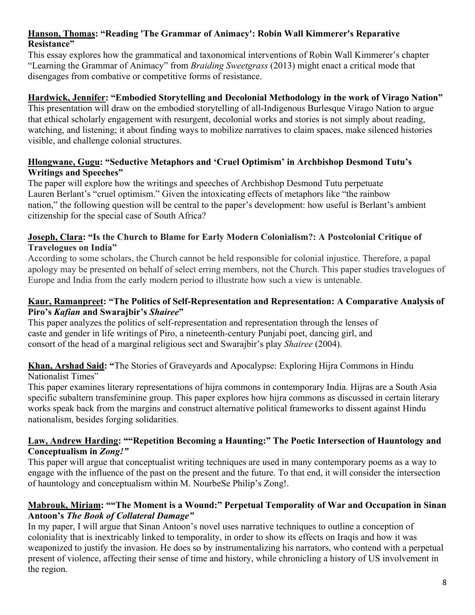#### **Hanson, Thomas: "Reading 'The Grammar of Animacy': Robin Wall Kimmerer's Reparative Resistance"**

This essay explores how the grammatical and taxonomical interventions of Robin Wall Kimmerer's chapter "Learning the Grammar of Animacy" from *Braiding Sweetgrass* (2013) might enact a critical mode that disengages from combative or competitive forms of resistance.

#### **Hardwick, Jennifer: "Embodied Storytelling and Decolonial Methodology in the work of Virago Nation"**

This presentation will draw on the embodied storytelling of all-Indigenous Burlesque Virago Nation to argue that ethical scholarly engagement with resurgent, decolonial works and stories is not simply about reading, watching, and listening; it about finding ways to mobilize narratives to claim spaces, make silenced histories visible, and challenge colonial structures.

#### **Hlongwane, Gugu: "Seductive Metaphors and 'Cruel Optimism' in Archbishop Desmond Tutu's Writings and Speeches"**

The paper will explore how the writings and speeches of Archbishop Desmond Tutu perpetuate Lauren Berlant's "cruel optimism." Given the intoxicating effects of metaphors like "the rainbow nation," the following question will be central to the paper's development: how useful is Berlant's ambient citizenship for the special case of South Africa?

#### **Joseph, Clara: "Is the Church to Blame for Early Modern Colonialism?: A Postcolonial Critique of Travelogues on India"**

According to some scholars, the Church cannot be held responsible for colonial injustice. Therefore, a papal apology may be presented on behalf of select erring members, not the Church. This paper studies travelogues of Europe and India from the early modern period to illustrate how such a view is untenable.

#### **Kaur, Ramanpreet: "The Politics of Self-Representation and Representation: A Comparative Analysis of Piro's** *Kafian* **and Swarajbir's** *Shairee***"**

This paper analyzes the politics of self-representation and representation through the lenses of caste and gender in life writings of Piro, a nineteenth-century Punjabi poet, dancing girl, and consort of the head of a marginal religious sect and Swarajbir's play *Shairee* (2004).

#### **Khan, Arshad Said: "**The Stories of Graveyards and Apocalypse: Exploring Hijra Commons in Hindu Nationalist Times"

This paper examines literary representations of hijra commons in contemporary India. Hijras are a South Asia specific subaltern transfeminine group. This paper explores how hijra commons as discussed in certain literary works speak back from the margins and construct alternative political frameworks to dissent against Hindu nationalism, besides forging solidarities.

#### **Law, Andrew Harding: ""Repetition Becoming a Haunting:" The Poetic Intersection of Hauntology and Conceptualism in** *Zong!"*

This paper will argue that conceptualist writing techniques are used in many contemporary poems as a way to engage with the influence of the past on the present and the future. To that end, it will consider the intersection of hauntology and conceptualism within M. NourbeSe Philip's Zong!.

#### **Mabrouk, Miriam: ""The Moment is a Wound:" Perpetual Temporality of War and Occupation in Sinan Antoon's** *The Book of Collateral Damage"*

In my paper, I will argue that Sinan Antoon's novel uses narrative techniques to outline a conception of coloniality that is inextricably linked to temporality, in order to show its effects on Iraqis and how it was weaponized to justify the invasion. He does so by instrumentalizing his narrators, who contend with a perpetual present of violence, affecting their sense of time and history, while chronicling a history of US involvement in the region.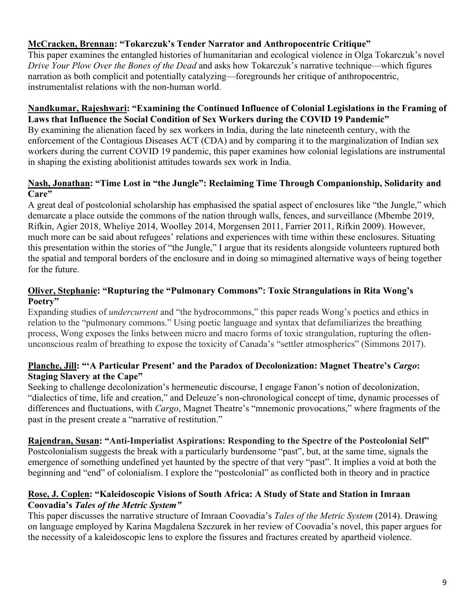#### **McCracken, Brennan: "Tokarczuk's Tender Narrator and Anthropocentric Critique"**

This paper examines the entangled histories of humanitarian and ecological violence in Olga Tokarczuk's novel *Drive Your Plow Over the Bones of the Dead* and asks how Tokarczuk's narrative technique—which figures narration as both complicit and potentially catalyzing—foregrounds her critique of anthropocentric, instrumentalist relations with the non-human world.

#### **Nandkumar, Rajeshwari: "Examining the Continued Influence of Colonial Legislations in the Framing of Laws that Influence the Social Condition of Sex Workers during the COVID 19 Pandemic"**

By examining the alienation faced by sex workers in India, during the late nineteenth century, with the enforcement of the Contagious Diseases ACT (CDA) and by comparing it to the marginalization of Indian sex workers during the current COVID 19 pandemic, this paper examines how colonial legislations are instrumental in shaping the existing abolitionist attitudes towards sex work in India.

#### **Nash, Jonathan: "Time Lost in "the Jungle": Reclaiming Time Through Companionship, Solidarity and Care"**

A great deal of postcolonial scholarship has emphasised the spatial aspect of enclosures like "the Jungle," which demarcate a place outside the commons of the nation through walls, fences, and surveillance (Mbembe 2019, Rifkin, Agier 2018, Wheliye 2014, Woolley 2014, Morgensen 2011, Farrier 2011, Rifkin 2009). However, much more can be said about refugees' relations and experiences with time within these enclosures. Situating this presentation within the stories of "the Jungle," I argue that its residents alongside volunteers ruptured both the spatial and temporal borders of the enclosure and in doing so mimagined alternative ways of being together for the future.

#### **Oliver, Stephanie: "Rupturing the "Pulmonary Commons": Toxic Strangulations in Rita Wong's Poetry"**

Expanding studies of *undercurrent* and "the hydrocommons," this paper reads Wong's poetics and ethics in relation to the "pulmonary commons." Using poetic language and syntax that defamiliarizes the breathing process, Wong exposes the links between micro and macro forms of toxic strangulation, rupturing the oftenunconscious realm of breathing to expose the toxicity of Canada's "settler atmospherics" (Simmons 2017).

#### **Planche, Jill: "'A Particular Present' and the Paradox of Decolonization: Magnet Theatre's** *Cargo***: Staging Slavery at the Cape"**

Seeking to challenge decolonization's hermeneutic discourse, I engage Fanon's notion of decolonization, "dialectics of time, life and creation," and Deleuze's non-chronological concept of time, dynamic processes of differences and fluctuations, with *Cargo*, Magnet Theatre's "mnemonic provocations," where fragments of the past in the present create a "narrative of restitution."

#### **Rajendran, Susan: "Anti-Imperialist Aspirations: Responding to the Spectre of the Postcolonial Self"**

Postcolonialism suggests the break with a particularly burdensome "past", but, at the same time, signals the emergence of something undefined yet haunted by the spectre of that very "past". It implies a void at both the beginning and "end" of colonialism. I explore the "postcolonial" as conflicted both in theory and in practice

#### **Rose, J. Coplen: "Kaleidoscopic Visions of South Africa: A Study of State and Station in Imraan Coovadia's** *Tales of the Metric System"*

This paper discusses the narrative structure of Imraan Coovadia's *Tales of the Metric System* (2014). Drawing on language employed by Karina Magdalena Szczurek in her review of Coovadia's novel, this paper argues for the necessity of a kaleidoscopic lens to explore the fissures and fractures created by apartheid violence.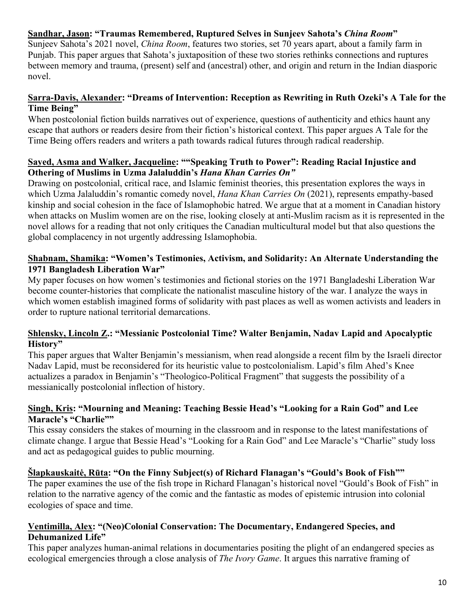#### **Sandhar, Jason: "Traumas Remembered, Ruptured Selves in Sunjeev Sahota's** *China Room***"**

Sunjeev Sahota's 2021 novel, *China Room*, features two stories, set 70 years apart, about a family farm in Punjab. This paper argues that Sahota's juxtaposition of these two stories rethinks connections and ruptures between memory and trauma, (present) self and (ancestral) other, and origin and return in the Indian diasporic novel.

#### **Sarra-Davis, Alexander: "Dreams of Intervention: Reception as Rewriting in Ruth Ozeki's A Tale for the Time Being"**

When postcolonial fiction builds narratives out of experience, questions of authenticity and ethics haunt any escape that authors or readers desire from their fiction's historical context. This paper argues A Tale for the Time Being offers readers and writers a path towards radical futures through radical readership.

#### **Sayed, Asma and Walker, Jacqueline: ""Speaking Truth to Power": Reading Racial Injustice and Othering of Muslims in Uzma Jalaluddin's** *Hana Khan Carries On"*

Drawing on postcolonial, critical race, and Islamic feminist theories, this presentation explores the ways in which Uzma Jalaluddin's romantic comedy novel, *Hana Khan Carries On* (2021), represents empathy-based kinship and social cohesion in the face of Islamophobic hatred. We argue that at a moment in Canadian history when attacks on Muslim women are on the rise, looking closely at anti-Muslim racism as it is represented in the novel allows for a reading that not only critiques the Canadian multicultural model but that also questions the global complacency in not urgently addressing Islamophobia.

#### **Shabnam, Shamika: "Women's Testimonies, Activism, and Solidarity: An Alternate Understanding the 1971 Bangladesh Liberation War"**

My paper focuses on how women's testimonies and fictional stories on the 1971 Bangladeshi Liberation War become counter-histories that complicate the nationalist masculine history of the war. I analyze the ways in which women establish imagined forms of solidarity with past places as well as women activists and leaders in order to rupture national territorial demarcations.

#### **Shlensky, Lincoln Z.: "Messianic Postcolonial Time? Walter Benjamin, Nadav Lapid and Apocalyptic History"**

This paper argues that Walter Benjamin's messianism, when read alongside a recent film by the Israeli director Nadav Lapid, must be reconsidered for its heuristic value to postcolonialism. Lapid's film Ahed's Knee actualizes a paradox in Benjamin's "Theologico-Political Fragment" that suggests the possibility of a messianically postcolonial inflection of history.

#### **Singh, Kris: "Mourning and Meaning: Teaching Bessie Head's "Looking for a Rain God" and Lee Maracle's "Charlie""**

This essay considers the stakes of mourning in the classroom and in response to the latest manifestations of climate change. I argue that Bessie Head's "Looking for a Rain God" and Lee Maracle's "Charlie" study loss and act as pedagogical guides to public mourning.

#### **Šlapkauskaitė, Rūta: "On the Finny Subject(s) of Richard Flanagan's "Gould's Book of Fish""**

The paper examines the use of the fish trope in Richard Flanagan's historical novel "Gould's Book of Fish" in relation to the narrative agency of the comic and the fantastic as modes of epistemic intrusion into colonial ecologies of space and time.

#### **Ventimilla, Alex: "(Neo)Colonial Conservation: The Documentary, Endangered Species, and Dehumanized Life"**

This paper analyzes human-animal relations in documentaries positing the plight of an endangered species as ecological emergencies through a close analysis of *The Ivory Game*. It argues this narrative framing of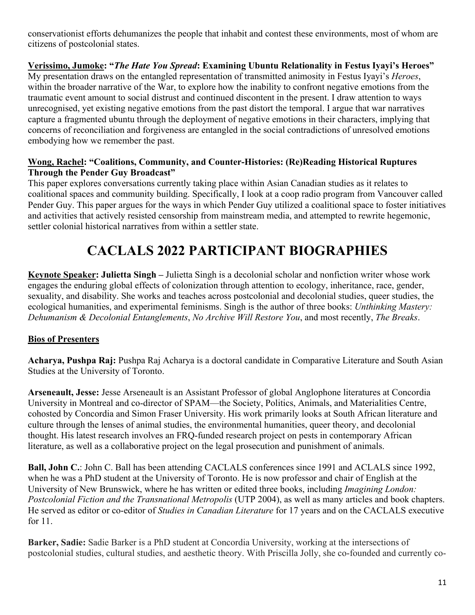conservationist efforts dehumanizes the people that inhabit and contest these environments, most of whom are citizens of postcolonial states.

**Verissimo, Jumoke: "***The Hate You Spread***: Examining Ubuntu Relationality in Festus Iyayi's Heroes"** My presentation draws on the entangled representation of transmitted animosity in Festus Iyayi's *Heroes*, within the broader narrative of the War, to explore how the inability to confront negative emotions from the traumatic event amount to social distrust and continued discontent in the present. I draw attention to ways unrecognised, yet existing negative emotions from the past distort the temporal. I argue that war narratives capture a fragmented ubuntu through the deployment of negative emotions in their characters, implying that concerns of reconciliation and forgiveness are entangled in the social contradictions of unresolved emotions embodying how we remember the past.

#### **Wong, Rachel: "Coalitions, Community, and Counter-Histories: (Re)Reading Historical Ruptures Through the Pender Guy Broadcast"**

This paper explores conversations currently taking place within Asian Canadian studies as it relates to coalitional spaces and community building. Specifically, I look at a coop radio program from Vancouver called Pender Guy. This paper argues for the ways in which Pender Guy utilized a coalitional space to foster initiatives and activities that actively resisted censorship from mainstream media, and attempted to rewrite hegemonic, settler colonial historical narratives from within a settler state.

## **CACLALS 2022 PARTICIPANT BIOGRAPHIES**

**Keynote Speaker: Julietta Singh –** Julietta Singh is a decolonial scholar and nonfiction writer whose work engages the enduring global effects of colonization through attention to ecology, inheritance, race, gender, sexuality, and disability. She works and teaches across postcolonial and decolonial studies, queer studies, the ecological humanities, and experimental feminisms. Singh is the author of three books: *Unthinking Mastery: Dehumanism & Decolonial Entanglements*, *No Archive Will Restore You*, and most recently, *The Breaks*.

### **Bios of Presenters**

**Acharya, Pushpa Raj:** Pushpa Raj Acharya is a doctoral candidate in Comparative Literature and South Asian Studies at the University of Toronto.

**Arseneault, Jesse:** Jesse Arseneault is an Assistant Professor of global Anglophone literatures at Concordia University in Montreal and co-director of SPAM—the Society, Politics, Animals, and Materialities Centre, cohosted by Concordia and Simon Fraser University. His work primarily looks at South African literature and culture through the lenses of animal studies, the environmental humanities, queer theory, and decolonial thought. His latest research involves an FRQ-funded research project on pests in contemporary African literature, as well as a collaborative project on the legal prosecution and punishment of animals.

**Ball, John C.**: John C. Ball has been attending CACLALS conferences since 1991 and ACLALS since 1992, when he was a PhD student at the University of Toronto. He is now professor and chair of English at the University of New Brunswick, where he has written or edited three books, including *Imagining London: Postcolonial Fiction and the Transnational Metropolis* (UTP 2004), as well as many articles and book chapters. He served as editor or co-editor of *Studies in Canadian Literature* for 17 years and on the CACLALS executive for 11.

**Barker, Sadie:** Sadie Barker is a PhD student at Concordia University, working at the intersections of postcolonial studies, cultural studies, and aesthetic theory. With Priscilla Jolly, she co-founded and currently co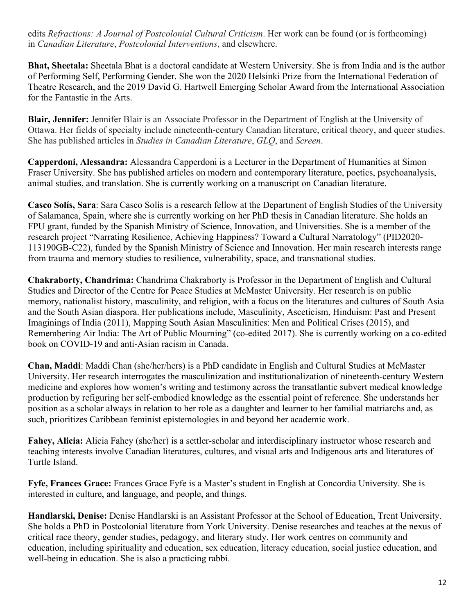edits *Refractions: A Journal of Postcolonial Cultural Criticism*. Her work can be found (or is forthcoming) in *Canadian Literature*, *Postcolonial Interventions*, and elsewhere.

**Bhat, Sheetala:** Sheetala Bhat is a doctoral candidate at Western University. She is from India and is the author of Performing Self, Performing Gender. She won the 2020 Helsinki Prize from the International Federation of Theatre Research, and the 2019 David G. Hartwell Emerging Scholar Award from the International Association for the Fantastic in the Arts.

**Blair, Jennifer:** Jennifer Blair is an Associate Professor in the Department of English at the University of Ottawa. Her fields of specialty include nineteenth-century Canadian literature, critical theory, and queer studies. She has published articles in *Studies in Canadian Literature*, *GLQ*, and *Screen*.

**Capperdoni, Alessandra:** Alessandra Capperdoni is a Lecturer in the Department of Humanities at Simon Fraser University. She has published articles on modern and contemporary literature, poetics, psychoanalysis, animal studies, and translation. She is currently working on a manuscript on Canadian literature.

**Casco Solís, Sara**: Sara Casco Solís is a research fellow at the Department of English Studies of the University of Salamanca, Spain, where she is currently working on her PhD thesis in Canadian literature. She holds an FPU grant, funded by the Spanish Ministry of Science, Innovation, and Universities. She is a member of the research project "Narrating Resilience, Achieving Happiness? Toward a Cultural Narratology" (PID2020- 113190GB-C22), funded by the Spanish Ministry of Science and Innovation. Her main research interests range from trauma and memory studies to resilience, vulnerability, space, and transnational studies.

**Chakraborty, Chandrima:** Chandrima Chakraborty is Professor in the Department of English and Cultural Studies and Director of the Centre for Peace Studies at McMaster University. Her research is on public memory, nationalist history, masculinity, and religion, with a focus on the literatures and cultures of South Asia and the South Asian diaspora. Her publications include, Masculinity, Asceticism, Hinduism: Past and Present Imaginings of India (2011), Mapping South Asian Masculinities: Men and Political Crises (2015), and Remembering Air India: The Art of Public Mourning" (co-edited 2017). She is currently working on a co-edited book on COVID-19 and anti-Asian racism in Canada.

**Chan, Maddi**: Maddi Chan (she/her/hers) is a PhD candidate in English and Cultural Studies at McMaster University. Her research interrogates the masculinization and institutionalization of nineteenth-century Western medicine and explores how women's writing and testimony across the transatlantic subvert medical knowledge production by refiguring her self-embodied knowledge as the essential point of reference. She understands her position as a scholar always in relation to her role as a daughter and learner to her familial matriarchs and, as such, prioritizes Caribbean feminist epistemologies in and beyond her academic work.

**Fahey, Alicia:** Alicia Fahey (she/her) is a settler-scholar and interdisciplinary instructor whose research and teaching interests involve Canadian literatures, cultures, and visual arts and Indigenous arts and literatures of Turtle Island.

**Fyfe, Frances Grace:** Frances Grace Fyfe is a Master's student in English at Concordia University. She is interested in culture, and language, and people, and things.

**Handlarski, Denise:** Denise Handlarski is an Assistant Professor at the School of Education, Trent University. She holds a PhD in Postcolonial literature from York University. Denise researches and teaches at the nexus of critical race theory, gender studies, pedagogy, and literary study. Her work centres on community and education, including spirituality and education, sex education, literacy education, social justice education, and well-being in education. She is also a practicing rabbi.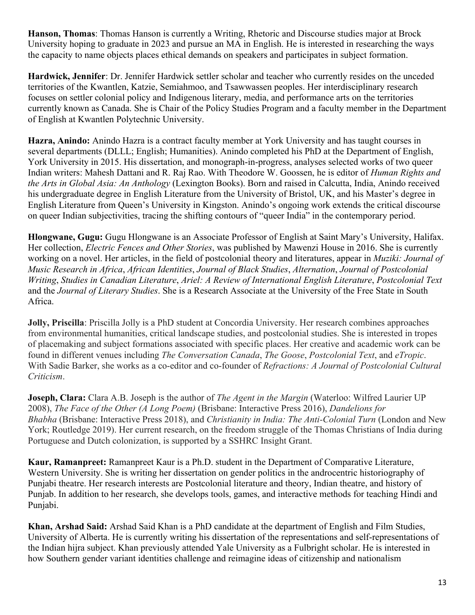**Hanson, Thomas**: Thomas Hanson is currently a Writing, Rhetoric and Discourse studies major at Brock University hoping to graduate in 2023 and pursue an MA in English. He is interested in researching the ways the capacity to name objects places ethical demands on speakers and participates in subject formation.

**Hardwick, Jennifer**: Dr. Jennifer Hardwick settler scholar and teacher who currently resides on the unceded territories of the Kwantlen, Katzie, Semiahmoo, and Tsawwassen peoples. Her interdisciplinary research focuses on settler colonial policy and Indigenous literary, media, and performance arts on the territories currently known as Canada. She is Chair of the Policy Studies Program and a faculty member in the Department of English at Kwantlen Polytechnic University.

**Hazra, Anindo:** Anindo Hazra is a contract faculty member at York University and has taught courses in several departments (DLLL; English; Humanities). Anindo completed his PhD at the Department of English, York University in 2015. His dissertation, and monograph-in-progress, analyses selected works of two queer Indian writers: Mahesh Dattani and R. Raj Rao. With Theodore W. Goossen, he is editor of *Human Rights and the Arts in Global Asia: An Anthology* (Lexington Books). Born and raised in Calcutta, India, Anindo received his undergraduate degree in English Literature from the University of Bristol, UK, and his Master's degree in English Literature from Queen's University in Kingston. Anindo's ongoing work extends the critical discourse on queer Indian subjectivities, tracing the shifting contours of "queer India" in the contemporary period.

**Hlongwane, Gugu:** Gugu Hlongwane is an Associate Professor of English at Saint Mary's University, Halifax. Her collection, *Electric Fences and Other Stories*, was published by Mawenzi House in 2016. She is currently working on a novel. Her articles, in the field of postcolonial theory and literatures, appear in *Muziki: Journal of Music Research in Africa*, *African Identities*, *Journal of Black Studies*, *Alternation*, *Journal of Postcolonial Writing*, *Studies in Canadian Literature*, *Ariel: A Review of International English Literature*, *Postcolonial Text*  and the *Journal of Literary Studies*. She is a Research Associate at the University of the Free State in South Africa.

**Jolly, Priscilla**: Priscilla Jolly is a PhD student at Concordia University. Her research combines approaches from environmental humanities, critical landscape studies, and postcolonial studies. She is interested in tropes of placemaking and subject formations associated with specific places. Her creative and academic work can be found in different venues including *The Conversation Canada*, *The Goose*, *Postcolonial Text*, and *eTropic*. With Sadie Barker, she works as a co-editor and co-founder of *Refractions: A Journal of Postcolonial Cultural Criticism*.

**Joseph, Clara:** Clara A.B. Joseph is the author of *The Agent in the Margin* (Waterloo: Wilfred Laurier UP 2008), *The Face of the Other (A Long Poem)* (Brisbane: Interactive Press 2016), *Dandelions for Bhabha* (Brisbane: Interactive Press 2018), and *Christianity in India: The Anti-Colonial Turn* (London and New York; Routledge 2019). Her current research, on the freedom struggle of the Thomas Christians of India during Portuguese and Dutch colonization, is supported by a SSHRC Insight Grant.

**Kaur, Ramanpreet:** Ramanpreet Kaur is a Ph.D. student in the Department of Comparative Literature, Western University. She is writing her dissertation on gender politics in the androcentric historiography of Punjabi theatre. Her research interests are Postcolonial literature and theory, Indian theatre, and history of Punjab. In addition to her research, she develops tools, games, and interactive methods for teaching Hindi and Punjabi.

**Khan, Arshad Said:** Arshad Said Khan is a PhD candidate at the department of English and Film Studies, University of Alberta. He is currently writing his dissertation of the representations and self-representations of the Indian hijra subject. Khan previously attended Yale University as a Fulbright scholar. He is interested in how Southern gender variant identities challenge and reimagine ideas of citizenship and nationalism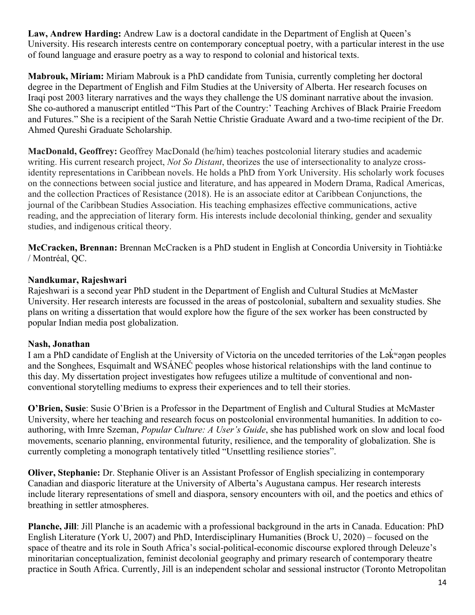Law, Andrew Harding: Andrew Law is a doctoral candidate in the Department of English at Queen's University. His research interests centre on contemporary conceptual poetry, with a particular interest in the use of found language and erasure poetry as a way to respond to colonial and historical texts.

**Mabrouk, Miriam:** Miriam Mabrouk is a PhD candidate from Tunisia, currently completing her doctoral degree in the Department of English and Film Studies at the University of Alberta. Her research focuses on Iraqi post 2003 literary narratives and the ways they challenge the US dominant narrative about the invasion. She co-authored a manuscript entitled "This Part of the Country:' Teaching Archives of Black Prairie Freedom and Futures." She is a recipient of the Sarah Nettie Christie Graduate Award and a two-time recipient of the Dr. Ahmed Qureshi Graduate Scholarship.

**MacDonald, Geoffrey:** Geoffrey MacDonald (he/him) teaches postcolonial literary studies and academic writing. His current research project, *Not So Distant*, theorizes the use of intersectionality to analyze crossidentity representations in Caribbean novels. He holds a PhD from York University. His scholarly work focuses on the connections between social justice and literature, and has appeared in Modern Drama, Radical Americas, and the collection Practices of Resistance (2018). He is an associate editor at Caribbean Conjunctions, the journal of the Caribbean Studies Association. His teaching emphasizes effective communications, active reading, and the appreciation of literary form. His interests include decolonial thinking, gender and sexuality studies, and indigenous critical theory.

**McCracken, Brennan:** Brennan McCracken is a PhD student in English at Concordia University in Tiohtià:ke / Montréal, QC.

#### **Nandkumar, Rajeshwari**

Rajeshwari is a second year PhD student in the Department of English and Cultural Studies at McMaster University. Her research interests are focussed in the areas of postcolonial, subaltern and sexuality studies. She plans on writing a dissertation that would explore how the figure of the sex worker has been constructed by popular Indian media post globalization.

#### **Nash, Jonathan**

I am a PhD candidate of English at the University of Victoria on the unceded territories of the Lək ʷəŋən peoples ̓ and the Songhees, Esquimalt and WSÁNEĆ peoples whose historical relationships with the land continue to this day. My dissertation project investigates how refugees utilize a multitude of conventional and nonconventional storytelling mediums to express their experiences and to tell their stories.

**O'Brien, Susie**: Susie O'Brien is a Professor in the Department of English and Cultural Studies at McMaster University, where her teaching and research focus on postcolonial environmental humanities. In addition to coauthoring, with Imre Szeman, *Popular Culture: A User's Guide*, she has published work on slow and local food movements, scenario planning, environmental futurity, resilience, and the temporality of globalization. She is currently completing a monograph tentatively titled "Unsettling resilience stories".

**Oliver, Stephanie:** Dr. Stephanie Oliver is an Assistant Professor of English specializing in contemporary Canadian and diasporic literature at the University of Alberta's Augustana campus. Her research interests include literary representations of smell and diaspora, sensory encounters with oil, and the poetics and ethics of breathing in settler atmospheres.

**Planche, Jill**: Jill Planche is an academic with a professional background in the arts in Canada. Education: PhD English Literature (York U, 2007) and PhD, Interdisciplinary Humanities (Brock U, 2020) – focused on the space of theatre and its role in South Africa's social-political-economic discourse explored through Deleuze's minoritarian conceptualization, feminist decolonial geography and primary research of contemporary theatre practice in South Africa. Currently, Jill is an independent scholar and sessional instructor (Toronto Metropolitan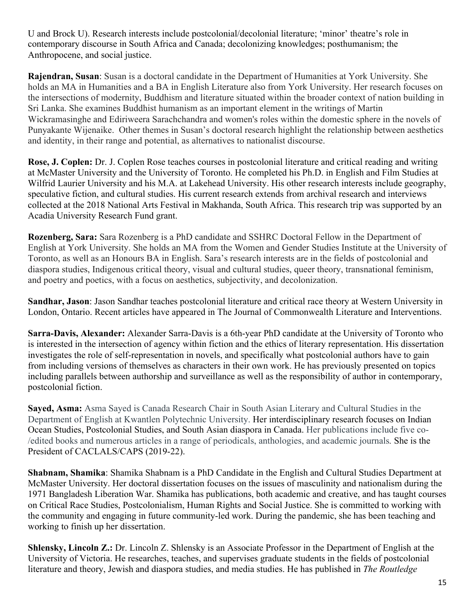U and Brock U). Research interests include postcolonial/decolonial literature; 'minor' theatre's role in contemporary discourse in South Africa and Canada; decolonizing knowledges; posthumanism; the Anthropocene, and social justice.

**Rajendran, Susan**: Susan is a doctoral candidate in the Department of Humanities at York University. She holds an MA in Humanities and a BA in English Literature also from York University. Her research focuses on the intersections of modernity, Buddhism and literature situated within the broader context of nation building in Sri Lanka. She examines Buddhist humanism as an important element in the writings of Martin Wickramasinghe and Ediriweera Sarachchandra and women's roles within the domestic sphere in the novels of Punyakante Wijenaike. Other themes in Susan's doctoral research highlight the relationship between aesthetics and identity, in their range and potential, as alternatives to nationalist discourse.

**Rose, J. Coplen:** Dr. J. Coplen Rose teaches courses in postcolonial literature and critical reading and writing at McMaster University and the University of Toronto. He completed his Ph.D. in English and Film Studies at Wilfrid Laurier University and his M.A. at Lakehead University. His other research interests include geography, speculative fiction, and cultural studies. His current research extends from archival research and interviews collected at the 2018 National Arts Festival in Makhanda, South Africa. This research trip was supported by an Acadia University Research Fund grant.

**Rozenberg, Sara:** Sara Rozenberg is a PhD candidate and SSHRC Doctoral Fellow in the Department of English at York University. She holds an MA from the Women and Gender Studies Institute at the University of Toronto, as well as an Honours BA in English. Sara's research interests are in the fields of postcolonial and diaspora studies, Indigenous critical theory, visual and cultural studies, queer theory, transnational feminism, and poetry and poetics, with a focus on aesthetics, subjectivity, and decolonization.

**Sandhar, Jason**: Jason Sandhar teaches postcolonial literature and critical race theory at Western University in London, Ontario. Recent articles have appeared in The Journal of Commonwealth Literature and Interventions.

**Sarra-Davis, Alexander:** Alexander Sarra-Davis is a 6th-year PhD candidate at the University of Toronto who is interested in the intersection of agency within fiction and the ethics of literary representation. His dissertation investigates the role of self-representation in novels, and specifically what postcolonial authors have to gain from including versions of themselves as characters in their own work. He has previously presented on topics including parallels between authorship and surveillance as well as the responsibility of author in contemporary, postcolonial fiction.

**Sayed, Asma:** Asma Sayed is Canada Research Chair in South Asian Literary and Cultural Studies in the Department of English at Kwantlen Polytechnic University. Her interdisciplinary research focuses on Indian Ocean Studies, Postcolonial Studies, and South Asian diaspora in Canada. Her publications include five co- /edited books and numerous articles in a range of periodicals, anthologies, and academic journals*.* She is the President of CACLALS/CAPS (2019-22).

**Shabnam, Shamika**: Shamika Shabnam is a PhD Candidate in the English and Cultural Studies Department at McMaster University. Her doctoral dissertation focuses on the issues of masculinity and nationalism during the 1971 Bangladesh Liberation War. Shamika has publications, both academic and creative, and has taught courses on Critical Race Studies, Postcolonialism, Human Rights and Social Justice. She is committed to working with the community and engaging in future community-led work. During the pandemic, she has been teaching and working to finish up her dissertation.

**Shlensky, Lincoln Z.:** Dr. Lincoln Z. Shlensky is an Associate Professor in the Department of English at the University of Victoria. He researches, teaches, and supervises graduate students in the fields of postcolonial literature and theory, Jewish and diaspora studies, and media studies. He has published in *The Routledge*